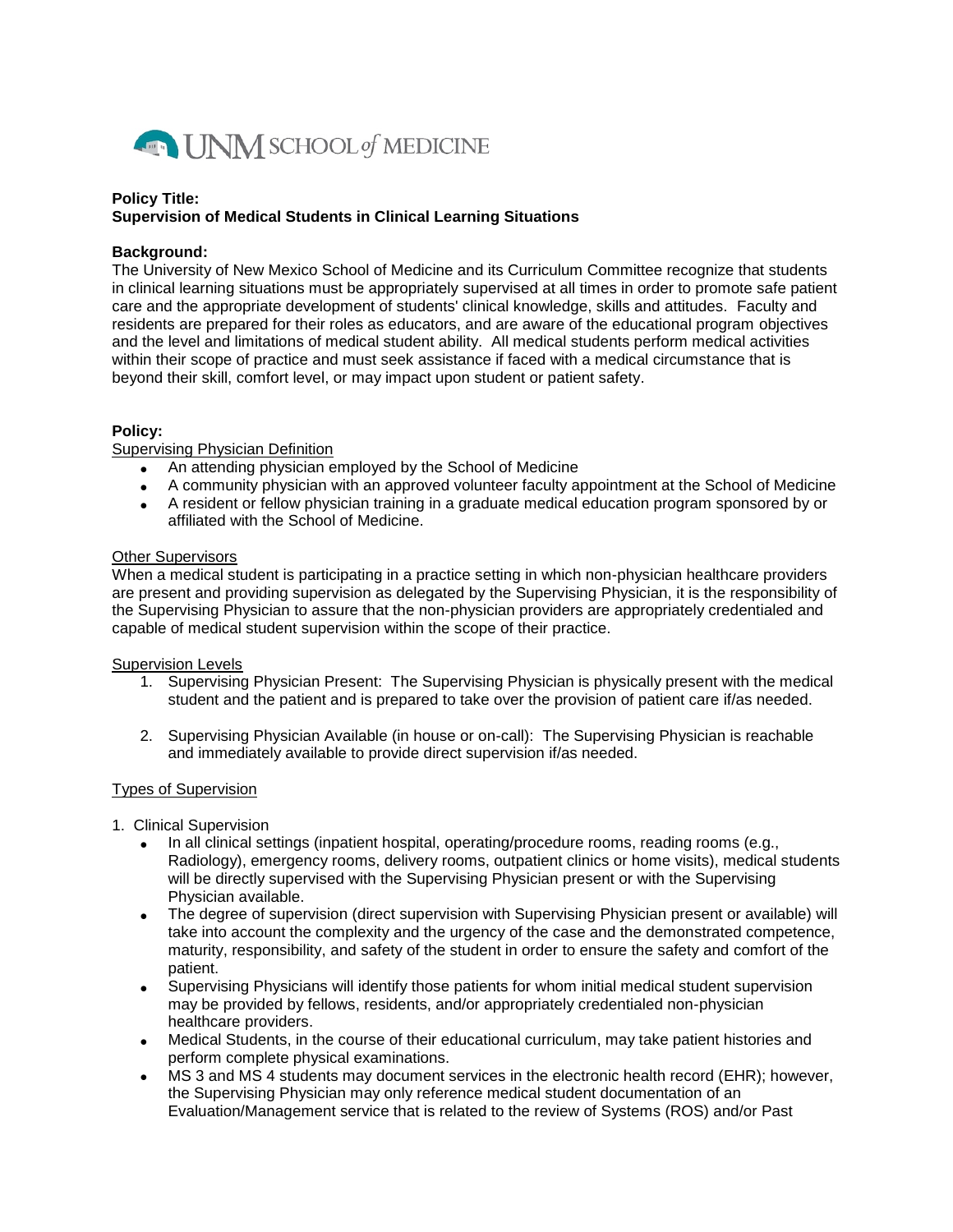

# **Policy Title: Supervision of Medical Students in Clinical Learning Situations**

# **Background:**

The University of New Mexico School of Medicine and its Curriculum Committee recognize that students in clinical learning situations must be appropriately supervised at all times in order to promote safe patient care and the appropriate development of students' clinical knowledge, skills and attitudes. Faculty and residents are prepared for their roles as educators, and are aware of the educational program objectives and the level and limitations of medical student ability. All medical students perform medical activities within their scope of practice and must seek assistance if faced with a medical circumstance that is beyond their skill, comfort level, or may impact upon student or patient safety.

## **Policy:**

Supervising Physician Definition

- An attending physician employed by the School of Medicine
- A community physician with an approved volunteer faculty appointment at the School of Medicine
- A resident or fellow physician training in a graduate medical education program sponsored by or affiliated with the School of Medicine.

## Other Supervisors

When a medical student is participating in a practice setting in which non-physician healthcare providers are present and providing supervision as delegated by the Supervising Physician, it is the responsibility of the Supervising Physician to assure that the non-physician providers are appropriately credentialed and capable of medical student supervision within the scope of their practice.

# Supervision Levels

- 1. Supervising Physician Present: The Supervising Physician is physically present with the medical student and the patient and is prepared to take over the provision of patient care if/as needed.
- 2. Supervising Physician Available (in house or on-call): The Supervising Physician is reachable and immediately available to provide direct supervision if/as needed.

# Types of Supervision

- 1. Clinical Supervision
	- In all clinical settings (inpatient hospital, operating/procedure rooms, reading rooms (e.g., Radiology), emergency rooms, delivery rooms, outpatient clinics or home visits), medical students will be directly supervised with the Supervising Physician present or with the Supervising Physician available.
	- The degree of supervision (direct supervision with Supervising Physician present or available) will take into account the complexity and the urgency of the case and the demonstrated competence, maturity, responsibility, and safety of the student in order to ensure the safety and comfort of the patient.
	- Supervising Physicians will identify those patients for whom initial medical student supervision may be provided by fellows, residents, and/or appropriately credentialed non-physician healthcare providers.
	- Medical Students, in the course of their educational curriculum, may take patient histories and perform complete physical examinations.
	- MS 3 and MS 4 students may document services in the electronic health record (EHR); however, the Supervising Physician may only reference medical student documentation of an Evaluation/Management service that is related to the review of Systems (ROS) and/or Past